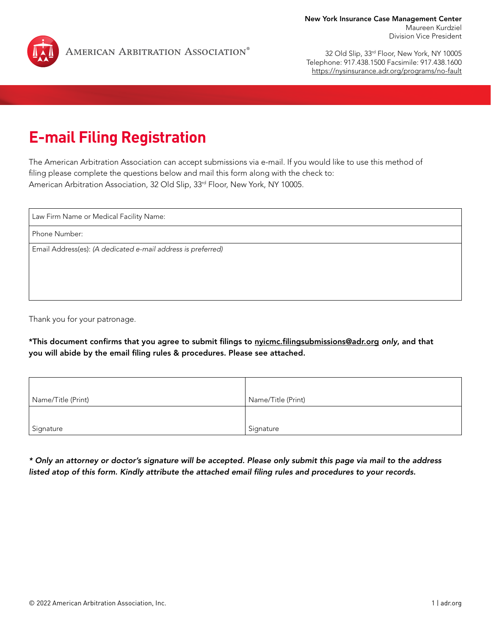

32 Old Slip, 33rd Floor, New York, NY 10005 Telephone: 917.438.1500 Facsimile: 917.438.1600 <https://nysinsurance.adr.org/programs/no-fault>

## **E-mail Filing Registration**

The American Arbitration Association can accept submissions via e-mail. If you would like to use this method of filing please complete the questions below and mail this form along with the check to: American Arbitration Association, 32 Old Slip, 33rd Floor, New York, NY 10005.

Law Firm Name or Medical Facility Name:

Phone Number:

Email Address(es): *(A dedicated e-mail address is preferred)*

Thank you for your patronage.

\*This document confirms that you agree to submit filings to [nyicmc.filingsubmissions@adr.org](mailto:nyicmc.filingsubmissions@adr.org) *only*, and that you will abide by the email filing rules & procedures. Please see attached.

| Name/Title (Print) | Name/Title (Print) |
|--------------------|--------------------|
|                    |                    |
| Signature          | Signature          |

*\* Only an attorney or doctor's signature will be accepted. Please only submit this page via mail to the address listed atop of this form. Kindly attribute the attached email filing rules and procedures to your records.*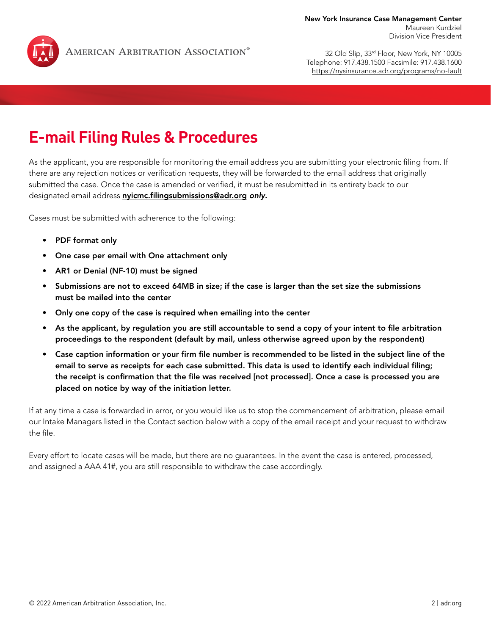

32 Old Slip, 33rd Floor, New York, NY 10005 Telephone: 917.438.1500 Facsimile: 917.438.1600 <https://nysinsurance.adr.org/programs/no-fault>

## **E-mail Filing Rules & Procedures**

As the applicant, you are responsible for monitoring the email address you are submitting your electronic filing from. If there are any rejection notices or verification requests, they will be forwarded to the email address that originally submitted the case. Once the case is amended or verified, it must be resubmitted in its entirety back to our designated email address [nyicmc.filingsubmissions@adr.org](mailto:nyicmc.filingsubmissions@adr.org) *only*.

Cases must be submitted with adherence to the following:

- PDF format only
- One case per email with One attachment only
- AR1 or Denial (NF-10) must be signed
- Submissions are not to exceed 64MB in size; if the case is larger than the set size the submissions must be mailed into the center
- Only one copy of the case is required when emailing into the center
- As the applicant, by regulation you are still accountable to send a copy of your intent to file arbitration proceedings to the respondent (default by mail, unless otherwise agreed upon by the respondent)
- Case caption information or your firm file number is recommended to be listed in the subject line of the email to serve as receipts for each case submitted. This data is used to identify each individual filing; the receipt is confirmation that the file was received [not processed]. Once a case is processed you are placed on notice by way of the initiation letter.

If at any time a case is forwarded in error, or you would like us to stop the commencement of arbitration, please email our Intake Managers listed in the Contact section below with a copy of the email receipt and your request to withdraw the file.

Every effort to locate cases will be made, but there are no guarantees. In the event the case is entered, processed, and assigned a AAA 41#, you are still responsible to withdraw the case accordingly.